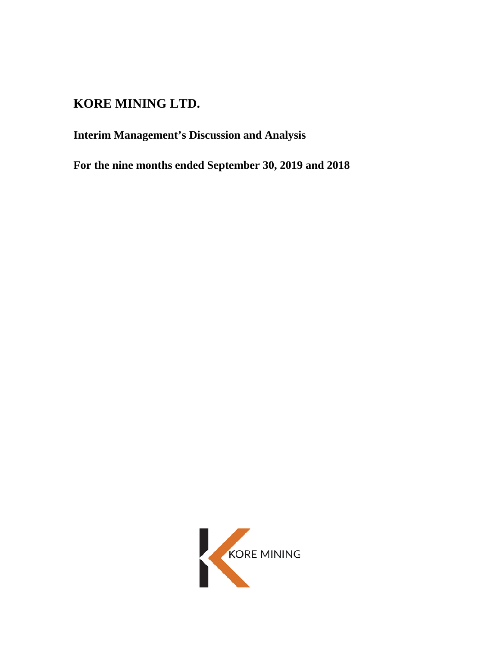# **KORE MINING LTD.**

**Interim Management's Discussion and Analysis**

**For the nine months ended September 30, 2019 and 2018**

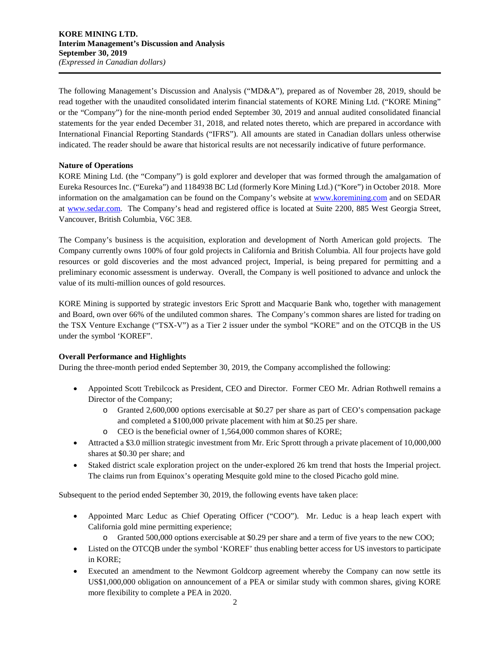The following Management's Discussion and Analysis ("MD&A"), prepared as of November 28, 2019, should be read together with the unaudited consolidated interim financial statements of KORE Mining Ltd. ("KORE Mining" or the "Company") for the nine-month period ended September 30, 2019 and annual audited consolidated financial statements for the year ended December 31, 2018, and related notes thereto, which are prepared in accordance with International Financial Reporting Standards ("IFRS"). All amounts are stated in Canadian dollars unless otherwise indicated. The reader should be aware that historical results are not necessarily indicative of future performance.

# **Nature of Operations**

KORE Mining Ltd. (the "Company") is gold explorer and developer that was formed through the amalgamation of Eureka Resources Inc. ("Eureka") and 1184938 BC Ltd (formerly Kore Mining Ltd.) ("Kore") in October 2018. More information on the amalgamation can be found on the Company's website at [www.koremining.com](http://www.koremining.com/) and on SEDAR at [www.sedar.com.](http://www.sedar.com/) The Company's head and registered office is located at Suite 2200, 885 West Georgia Street, Vancouver, British Columbia, V6C 3E8.

The Company's business is the acquisition, exploration and development of North American gold projects. The Company currently owns 100% of four gold projects in California and British Columbia. All four projects have gold resources or gold discoveries and the most advanced project, Imperial, is being prepared for permitting and a preliminary economic assessment is underway. Overall, the Company is well positioned to advance and unlock the value of its multi-million ounces of gold resources.

KORE Mining is supported by strategic investors Eric Sprott and Macquarie Bank who, together with management and Board, own over 66% of the undiluted common shares. The Company's common shares are listed for trading on the TSX Venture Exchange ("TSX-V") as a Tier 2 issuer under the symbol "KORE" and on the OTCQB in the US under the symbol 'KOREF".

# **Overall Performance and Highlights**

During the three-month period ended September 30, 2019, the Company accomplished the following:

- Appointed Scott Trebilcock as President, CEO and Director. Former CEO Mr. Adrian Rothwell remains a Director of the Company;
	- o Granted 2,600,000 options exercisable at \$0.27 per share as part of CEO's compensation package and completed a \$100,000 private placement with him at \$0.25 per share.
	- o CEO is the beneficial owner of 1,564,000 common shares of KORE;
- Attracted a \$3.0 million strategic investment from Mr. Eric Sprott through a private placement of 10,000,000 shares at \$0.30 per share; and
- Staked district scale exploration project on the under-explored 26 km trend that hosts the Imperial project. The claims run from Equinox's operating Mesquite gold mine to the closed Picacho gold mine.

Subsequent to the period ended September 30, 2019, the following events have taken place:

- Appointed Marc Leduc as Chief Operating Officer ("COO"). Mr. Leduc is a heap leach expert with California gold mine permitting experience;
	- o Granted 500,000 options exercisable at \$0.29 per share and a term of five years to the new COO;
- Listed on the OTCQB under the symbol 'KOREF' thus enabling better access for US investors to participate in KORE;
- Executed an amendment to the Newmont Goldcorp agreement whereby the Company can now settle its US\$1,000,000 obligation on announcement of a PEA or similar study with common shares, giving KORE more flexibility to complete a PEA in 2020.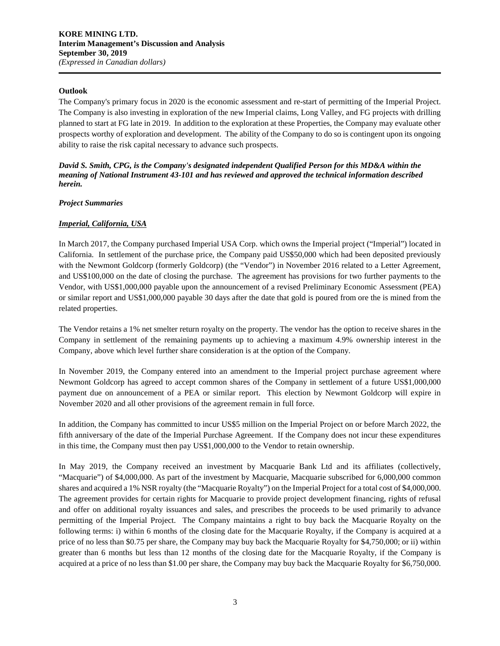#### **Outlook**

The Company's primary focus in 2020 is the economic assessment and re-start of permitting of the Imperial Project. The Company is also investing in exploration of the new Imperial claims, Long Valley, and FG projects with drilling planned to start at FG late in 2019. In addition to the exploration at these Properties, the Company may evaluate other prospects worthy of exploration and development. The ability of the Company to do so is contingent upon its ongoing ability to raise the risk capital necessary to advance such prospects.

*David S. Smith, CPG, is the Company's designated independent Qualified Person for this MD&A within the meaning of National Instrument 43-101 and has reviewed and approved the technical information described herein.*

#### *Project Summaries*

## *Imperial, California, USA*

In March 2017, the Company purchased Imperial USA Corp. which owns the Imperial project ("Imperial") located in California. In settlement of the purchase price, the Company paid US\$50,000 which had been deposited previously with the Newmont Goldcorp (formerly Goldcorp) (the "Vendor") in November 2016 related to a Letter Agreement, and US\$100,000 on the date of closing the purchase. The agreement has provisions for two further payments to the Vendor, with US\$1,000,000 payable upon the announcement of a revised Preliminary Economic Assessment (PEA) or similar report and US\$1,000,000 payable 30 days after the date that gold is poured from ore the is mined from the related properties.

The Vendor retains a 1% net smelter return royalty on the property. The vendor has the option to receive shares in the Company in settlement of the remaining payments up to achieving a maximum 4.9% ownership interest in the Company, above which level further share consideration is at the option of the Company.

In November 2019, the Company entered into an amendment to the Imperial project purchase agreement where Newmont Goldcorp has agreed to accept common shares of the Company in settlement of a future US\$1,000,000 payment due on announcement of a PEA or similar report. This election by Newmont Goldcorp will expire in November 2020 and all other provisions of the agreement remain in full force.

In addition, the Company has committed to incur US\$5 million on the Imperial Project on or before March 2022, the fifth anniversary of the date of the Imperial Purchase Agreement. If the Company does not incur these expenditures in this time, the Company must then pay US\$1,000,000 to the Vendor to retain ownership.

In May 2019, the Company received an investment by Macquarie Bank Ltd and its affiliates (collectively, "Macquarie") of \$4,000,000. As part of the investment by Macquarie, Macquarie subscribed for 6,000,000 common shares and acquired a 1% NSR royalty (the "Macquarie Royalty") on the Imperial Project for a total cost of \$4,000,000. The agreement provides for certain rights for Macquarie to provide project development financing, rights of refusal and offer on additional royalty issuances and sales, and prescribes the proceeds to be used primarily to advance permitting of the Imperial Project. The Company maintains a right to buy back the Macquarie Royalty on the following terms: i) within 6 months of the closing date for the Macquarie Royalty, if the Company is acquired at a price of no less than \$0.75 per share, the Company may buy back the Macquarie Royalty for \$4,750,000; or ii) within greater than 6 months but less than 12 months of the closing date for the Macquarie Royalty, if the Company is acquired at a price of no less than \$1.00 per share, the Company may buy back the Macquarie Royalty for \$6,750,000.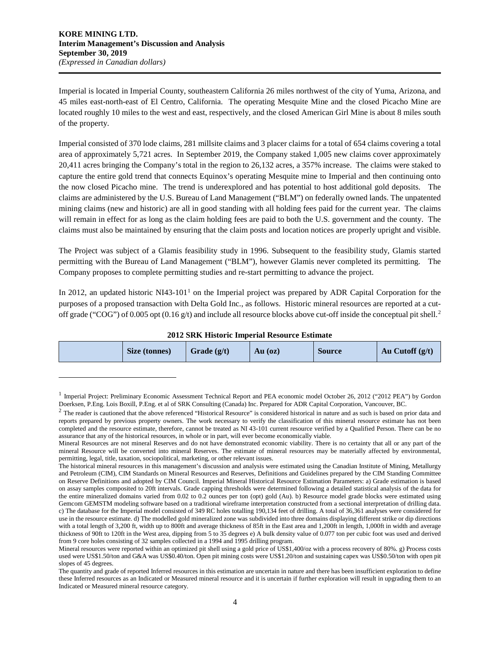$\overline{a}$ 

Imperial is located in Imperial County, southeastern California 26 miles northwest of the city of Yuma, Arizona, and 45 miles east-north-east of El Centro, California. The operating Mesquite Mine and the closed Picacho Mine are located roughly 10 miles to the west and east, respectively, and the closed American Girl Mine is about 8 miles south of the property.

Imperial consisted of 370 lode claims, 281 millsite claims and 3 placer claims for a total of 654 claims covering a total area of approximately 5,721 acres. In September 2019, the Company staked 1,005 new claims cover approximately 20,411 acres bringing the Company's total in the region to 26,132 acres, a 357% increase. The claims were staked to capture the entire gold trend that connects Equinox's operating Mesquite mine to Imperial and then continuing onto the now closed Picacho mine. The trend is underexplored and has potential to host additional gold deposits. The claims are administered by the U.S. Bureau of Land Management ("BLM") on federally owned lands. The unpatented mining claims (new and historic) are all in good standing with all holding fees paid for the current year. The claims will remain in effect for as long as the claim holding fees are paid to both the U.S. government and the county. The claims must also be maintained by ensuring that the claim posts and location notices are properly upright and visible.

The Project was subject of a Glamis feasibility study in 1996. Subsequent to the feasibility study, Glamis started permitting with the Bureau of Land Management ("BLM"), however Glamis never completed its permitting. The Company proposes to complete permitting studies and re-start permitting to advance the project.

In 20[1](#page-3-0)2, an updated historic NI43-101<sup>1</sup> on the Imperial project was prepared by ADR Capital Corporation for the purposes of a proposed transaction with Delta Gold Inc., as follows. Historic mineral resources are reported at a cut-off grade ("COG") of 0.005 opt (0.16 g/t) and include all resource blocks above cut-off inside the conceptual pit shell.<sup>[2](#page-3-1)</sup>

| 2012 SKK HIStoric Hilperial Resource Estimate |               |               |           |               |                   |  |  |
|-----------------------------------------------|---------------|---------------|-----------|---------------|-------------------|--|--|
|                                               | Size (tonnes) | Grade $(g/t)$ | $Au$ (oz) | <b>Source</b> | Au Cutoff $(g/t)$ |  |  |

**2012 SRK Historic Imperial Resource Estimate**

<span id="page-3-0"></span><sup>&</sup>lt;sup>1</sup> Imperial Project: Preliminary Economic Assessment Technical Report and PEA economic model October 26, 2012 ("2012 PEA") by Gordon Doerksen, P.Eng. Lois Boxill, P.Eng. et al of SRK Consulting (Canada) Inc. Prepared for ADR Capital Corporation, Vancouver, BC.

<span id="page-3-1"></span><sup>&</sup>lt;sup>2</sup> The reader is cautioned that the above referenced "Historical Resource" is considered historical in nature and as such is based on prior data and reports prepared by previous property owners. The work necessary to verify the classification of this mineral resource estimate has not been completed and the resource estimate, therefore, cannot be treated as NI 43-101 current resource verified by a Qualified Person. There can be no assurance that any of the historical resources, in whole or in part, will ever become economically viable.

Mineral Resources are not mineral Reserves and do not have demonstrated economic viability. There is no certainty that all or any part of the mineral Resource will be converted into mineral Reserves. The estimate of mineral resources may be materially affected by environmental, permitting, legal, title, taxation, sociopolitical, marketing, or other relevant issues.

The historical mineral resources in this management's discussion and analysis were estimated using the Canadian Institute of Mining, Metallurgy and Petroleum (CIM), CIM Standards on Mineral Resources and Reserves, Definitions and Guidelines prepared by the CIM Standing Committee on Reserve Definitions and adopted by CIM Council. Imperial Mineral Historical Resource Estimation Parameters: a) Grade estimation is based on assay samples composited to 20ft intervals. Grade capping thresholds were determined following a detailed statistical analysis of the data for the entire mineralized domains varied from 0.02 to 0.2 ounces per ton (opt) gold (Au). b) Resource model grade blocks were estimated using Gemcom GEMSTM modeling software based on a traditional wireframe interpretation constructed from a sectional interpretation of drilling data. c) The database for the Imperial model consisted of 349 RC holes totalling 190,134 feet of drilling. A total of 36,361 analyses were considered for use in the resource estimate. d) The modelled gold mineralized zone was subdivided into three domains displaying different strike or dip directions with a total length of 3,200 ft, width up to 800ft and average thickness of 85ft in the East area and 1,200ft in length, 1,000ft in width and average thickness of 90ft to 120ft in the West area, dipping from 5 to 35 degrees e) A bulk density value of 0.077 ton per cubic foot was used and derived from 9 core holes consisting of 32 samples collected in a 1994 and 1995 drilling program.

Mineral resources were reported within an optimized pit shell using a gold price of US\$1,400/oz with a process recovery of 80%. g) Process costs used were US\$1.50/ton and G&A was US\$0.40/ton. Open pit mining costs were US\$1.20/ton and sustaining capex was US\$0.50/ton with open pit slopes of 45 degrees.

The quantity and grade of reported Inferred resources in this estimation are uncertain in nature and there has been insufficient exploration to define these Inferred resources as an Indicated or Measured mineral resource and it is uncertain if further exploration will result in upgrading them to an Indicated or Measured mineral resource category.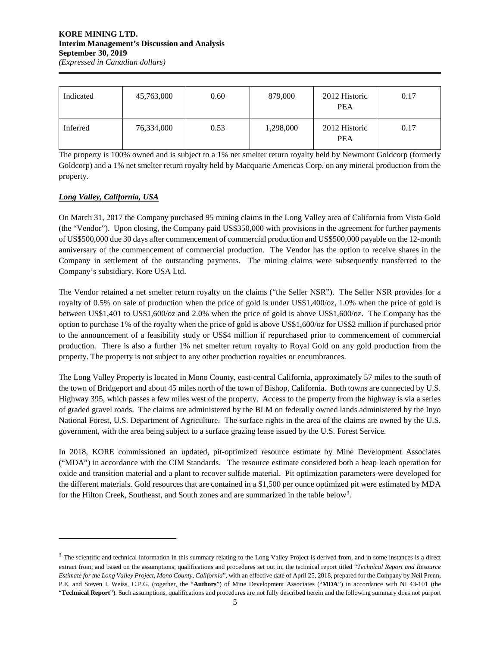#### **KORE MINING LTD. Interim Management's Discussion and Analysis September 30, 2019** *(Expressed in Canadian dollars)*

| Indicated | 45,763,000 | 0.60 | 879,000   | 2012 Historic<br><b>PEA</b> | 0.17 |
|-----------|------------|------|-----------|-----------------------------|------|
| Inferred  | 76,334,000 | 0.53 | 1,298,000 | 2012 Historic<br><b>PEA</b> | 0.17 |

The property is 100% owned and is subject to a 1% net smelter return royalty held by Newmont Goldcorp (formerly Goldcorp) and a 1% net smelter return royalty held by Macquarie Americas Corp. on any mineral production from the property.

# *Long Valley, California, USA*

 $\overline{a}$ 

On March 31, 2017 the Company purchased 95 mining claims in the Long Valley area of California from Vista Gold (the "Vendor"). Upon closing, the Company paid US\$350,000 with provisions in the agreement for further payments of US\$500,000 due 30 days after commencement of commercial production and US\$500,000 payable on the 12-month anniversary of the commencement of commercial production. The Vendor has the option to receive shares in the Company in settlement of the outstanding payments. The mining claims were subsequently transferred to the Company's subsidiary, Kore USA Ltd.

The Vendor retained a net smelter return royalty on the claims ("the Seller NSR"). The Seller NSR provides for a royalty of 0.5% on sale of production when the price of gold is under US\$1,400/oz, 1.0% when the price of gold is between US\$1,401 to US\$1,600/oz and 2.0% when the price of gold is above US\$1,600/oz. The Company has the option to purchase 1% of the royalty when the price of gold is above US\$1,600/oz for US\$2 million if purchased prior to the announcement of a feasibility study or US\$4 million if repurchased prior to commencement of commercial production. There is also a further 1% net smelter return royalty to Royal Gold on any gold production from the property. The property is not subject to any other production royalties or encumbrances.

The Long Valley Property is located in Mono County, east-central California, approximately 57 miles to the south of the town of Bridgeport and about 45 miles north of the town of Bishop, California. Both towns are connected by U.S. Highway 395, which passes a few miles west of the property. Access to the property from the highway is via a series of graded gravel roads. The claims are administered by the BLM on federally owned lands administered by the Inyo National Forest, U.S. Department of Agriculture. The surface rights in the area of the claims are owned by the U.S. government, with the area being subject to a surface grazing lease issued by the U.S. Forest Service.

In 2018, KORE commissioned an updated, pit-optimized resource estimate by Mine Development Associates ("MDA") in accordance with the CIM Standards. The resource estimate considered both a heap leach operation for oxide and transition material and a plant to recover sulfide material. Pit optimization parameters were developed for the different materials. Gold resources that are contained in a \$1,500 per ounce optimized pit were estimated by MDA for the Hilton Creek, Southeast, and South zones and are summarized in the table below<sup>[3](#page-4-0)</sup>.

<span id="page-4-0"></span><sup>&</sup>lt;sup>3</sup> The scientific and technical information in this summary relating to the Long Valley Project is derived from, and in some instances is a direct extract from, and based on the assumptions, qualifications and procedures set out in, the technical report titled "*Technical Report and Resource Estimate for the Long Valley Project, Mono County, California*", with an effective date of April 25, 2018, prepared for the Company by Neil Prenn, P.E. and Steven I. Weiss, C.P.G. (together, the "**Authors**") of Mine Development Associates ("**MDA**") in accordance with NI 43-101 (the "**Technical Report**"). Such assumptions, qualifications and procedures are not fully described herein and the following summary does not purport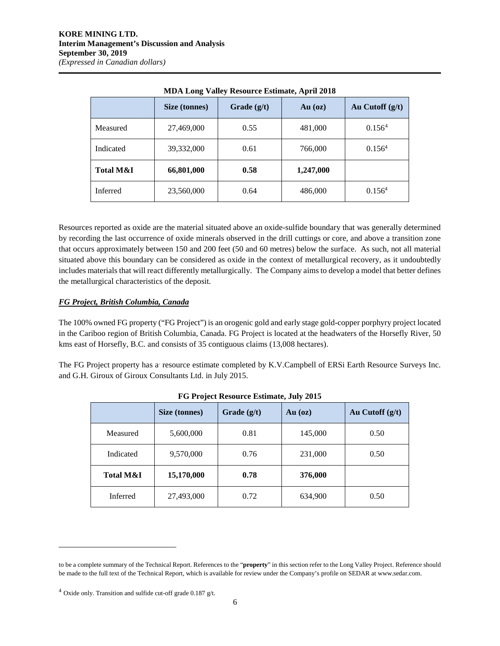|                      | Size (tonnes) | Grade $(g/t)$ | $Au$ (oz) | Au Cutoff (g/t)    |
|----------------------|---------------|---------------|-----------|--------------------|
| Measured             | 27,469,000    | 0.55          | 481,000   | 0.156 <sup>4</sup> |
| Indicated            | 39,332,000    | 0.61          | 766,000   | 0.156 <sup>4</sup> |
| <b>Total M&amp;I</b> | 66,801,000    | 0.58          | 1,247,000 |                    |
| Inferred             | 23,560,000    | 0.64          | 486,000   | 0.156 <sup>4</sup> |

**MDA Long Valley Resource Estimate, April 2018**

Resources reported as oxide are the material situated above an oxide-sulfide boundary that was generally determined by recording the last occurrence of oxide minerals observed in the drill cuttings or core, and above a transition zone that occurs approximately between 150 and 200 feet (50 and 60 metres) below the surface. As such, not all material situated above this boundary can be considered as oxide in the context of metallurgical recovery, as it undoubtedly includes materials that will react differently metallurgically. The Company aims to develop a model that better defines the metallurgical characteristics of the deposit.

# *FG Project, British Columbia, Canada*

The 100% owned FG property ("FG Project") is an orogenic gold and early stage gold-copper porphyry project located in the Cariboo region of British Columbia, Canada. FG Project is located at the headwaters of the Horsefly River, 50 kms east of Horsefly, B.C. and consists of 35 contiguous claims (13,008 hectares).

The FG Project property has a resource estimate completed by K.V.Campbell of ERSi Earth Resource Surveys Inc. and G.H. Giroux of Giroux Consultants Ltd. in July 2015.

| 10110                |               |               |           |                   |  |  |  |  |
|----------------------|---------------|---------------|-----------|-------------------|--|--|--|--|
|                      | Size (tonnes) | Grade $(g/t)$ | $Au$ (oz) | Au Cutoff $(g/t)$ |  |  |  |  |
| Measured             | 5,600,000     | 0.81          | 145,000   | 0.50              |  |  |  |  |
| Indicated            | 9,570,000     | 0.76          | 231,000   | 0.50              |  |  |  |  |
| <b>Total M&amp;I</b> | 15,170,000    | 0.78          | 376,000   |                   |  |  |  |  |
| Inferred             | 27,493,000    | 0.72          | 634,900   | 0.50              |  |  |  |  |

| FG Project Resource Estimate, July 2015 |  |
|-----------------------------------------|--|
|-----------------------------------------|--|

 $\overline{a}$ 

to be a complete summary of the Technical Report. References to the "**property**" in this section refer to the Long Valley Project. Reference should be made to the full text of the Technical Report, which is available for review under the Company's profile on SEDAR at www.sedar.com.

<span id="page-5-0"></span> $4$  Oxide only. Transition and sulfide cut-off grade 0.187 g/t.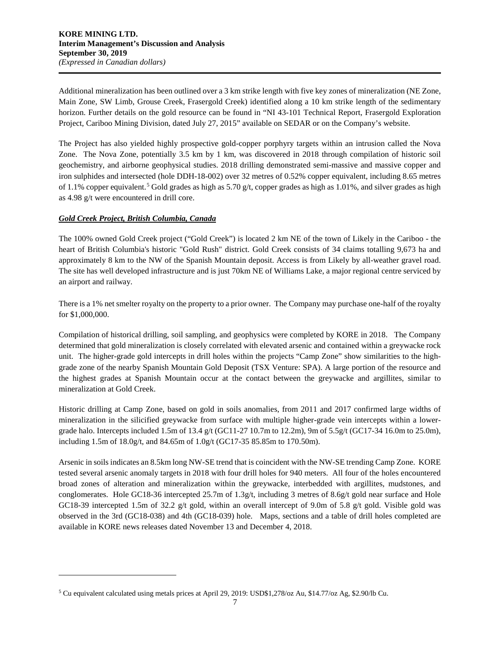Additional mineralization has been outlined over a 3 km strike length with five key zones of mineralization (NE Zone, Main Zone, SW Limb, Grouse Creek, Frasergold Creek) identified along a 10 km strike length of the sedimentary horizon. Further details on the gold resource can be found in "NI 43-101 Technical Report, Frasergold Exploration Project, Cariboo Mining Division, dated July 27, 2015" available on SEDAR or on the Company's website.

The Project has also yielded highly prospective gold-copper porphyry targets within an intrusion called the Nova Zone. The Nova Zone, potentially 3.5 km by 1 km, was discovered in 2018 through compilation of historic soil geochemistry, and airborne geophysical studies. 2018 drilling demonstrated semi-massive and massive copper and iron sulphides and intersected (hole DDH-18-002) over 32 metres of 0.52% copper equivalent, including 8.65 metres of 1.1% copper equivalent.<sup>[5](#page-6-0)</sup> Gold grades as high as 5.70 g/t, copper grades as high as 1.01%, and silver grades as high as 4.98 g/t were encountered in drill core.

# *Gold Creek Project, British Columbia, Canada*

 $\overline{a}$ 

The 100% owned Gold Creek project ("Gold Creek") is located 2 km NE of the town of Likely in the Cariboo - the heart of British Columbia's historic "Gold Rush" district. Gold Creek consists of 34 claims totalling 9,673 ha and approximately 8 km to the NW of the Spanish Mountain deposit. Access is from Likely by all-weather gravel road. The site has well developed infrastructure and is just 70km NE of Williams Lake, a major regional centre serviced by an airport and railway.

There is a 1% net smelter royalty on the property to a prior owner. The Company may purchase one-half of the royalty for \$1,000,000.

Compilation of historical drilling, soil sampling, and geophysics were completed by KORE in 2018. The Company determined that gold mineralization is closely correlated with elevated arsenic and contained within a greywacke rock unit. The higher-grade gold intercepts in drill holes within the projects "Camp Zone" show similarities to the highgrade zone of the nearby Spanish Mountain Gold Deposit (TSX Venture: SPA). A large portion of the resource and the highest grades at Spanish Mountain occur at the contact between the greywacke and argillites, similar to mineralization at Gold Creek.

Historic drilling at Camp Zone, based on gold in soils anomalies, from 2011 and 2017 confirmed large widths of mineralization in the silicified greywacke from surface with multiple higher-grade vein intercepts within a lowergrade halo. Intercepts included 1.5m of 13.4 g/t (GC11-27 10.7m to 12.2m), 9m of 5.5g/t (GC17-34 16.0m to 25.0m), including 1.5m of 18.0g/t, and 84.65m of 1.0g/t (GC17-35 85.85m to 170.50m).

Arsenic in soils indicates an 8.5km long NW-SE trend that is coincident with the NW-SE trending Camp Zone. KORE tested several arsenic anomaly targets in 2018 with four drill holes for 940 meters. All four of the holes encountered broad zones of alteration and mineralization within the greywacke, interbedded with argillites, mudstones, and conglomerates. Hole GC18-36 intercepted 25.7m of 1.3g/t, including 3 metres of 8.6g/t gold near surface and Hole GC18-39 intercepted 1.5m of 32.2 g/t gold, within an overall intercept of 9.0m of 5.8 g/t gold. Visible gold was observed in the 3rd (GC18-038) and 4th (GC18-039) hole. Maps, sections and a table of drill holes completed are available in KORE news releases dated November 13 and December 4, 2018.

<span id="page-6-0"></span><sup>5</sup> Cu equivalent calculated using metals prices at April 29, 2019: USD\$1,278/oz Au, \$14.77/oz Ag, \$2.90/lb Cu.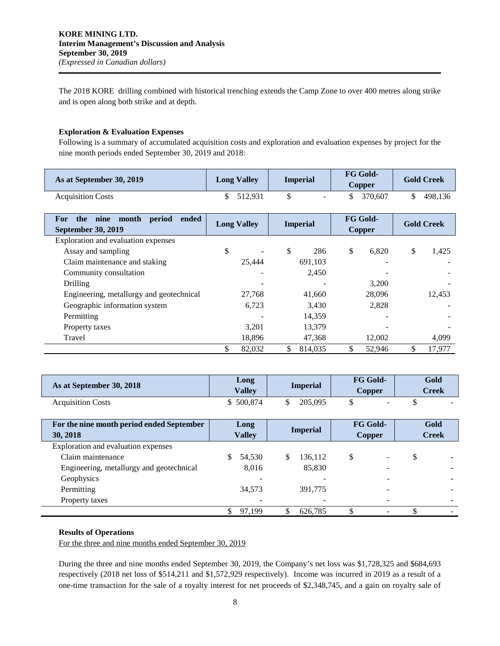The 2018 KORE drilling combined with historical trenching extends the Camp Zone to over 400 metres along strike and is open along both strike and at depth.

#### **Exploration & Evaluation Expenses**

Following is a summary of accumulated acquisition costs and exploration and evaluation expenses by project for the nine month periods ended September 30, 2019 and 2018:

| As at September 30, 2019 | <b>Long Valley</b> | <b>Imperial</b> | <b>FG Gold-</b><br>Copper | <b>Gold Creek</b> |  |
|--------------------------|--------------------|-----------------|---------------------------|-------------------|--|
| <b>Acquisition Costs</b> | \$ 512,931         |                 | 370.607                   | 498.136           |  |

| ended<br>month<br>period<br>the<br>nine<br><b>For</b><br><b>September 30, 2019</b> | <b>Long Valley</b>             | <b>Imperial</b> | <b>FG Gold-</b><br><b>Copper</b> | <b>Gold Creek</b> |
|------------------------------------------------------------------------------------|--------------------------------|-----------------|----------------------------------|-------------------|
| Exploration and evaluation expenses                                                |                                |                 |                                  |                   |
| Assay and sampling                                                                 | \$<br>$\overline{\phantom{a}}$ | \$<br>286       | \$<br>6,820                      | \$<br>1,425       |
| Claim maintenance and staking                                                      | 25,444                         | 691,103         |                                  |                   |
| Community consultation                                                             |                                | 2.450           |                                  |                   |
| Drilling                                                                           |                                |                 | 3.200                            |                   |
| Engineering, metallurgy and geotechnical                                           | 27,768                         | 41,660          | 28,096                           | 12.453            |
| Geographic information system                                                      | 6,723                          | 3,430           | 2,828                            |                   |
| Permitting                                                                         |                                | 14.359          |                                  |                   |
| Property taxes                                                                     | 3.201                          | 13,379          |                                  |                   |
| Travel                                                                             | 18.896                         | 47.368          | 12.002                           | 4,099             |
|                                                                                    | 82,032                         | \$<br>814.035   | 52.946                           | 17.977            |

| As at September 30, 2018 | Long<br><b>Valley</b> | <b>Imperial</b> | <b>FG Gold-</b><br>Copper | Gold<br>Creek |
|--------------------------|-----------------------|-----------------|---------------------------|---------------|
| <b>Acquisition Costs</b> | 500.874               | 205,095         | $\sim$                    | -             |

| For the nine month period ended September<br>30, 2018 | Long<br><b>Valley</b> |        | <b>Imperial</b> |         | <b>FG Gold-</b><br><b>Copper</b> |  | Gold<br><b>Creek</b> |  |
|-------------------------------------------------------|-----------------------|--------|-----------------|---------|----------------------------------|--|----------------------|--|
| Exploration and evaluation expenses                   |                       |        |                 |         |                                  |  |                      |  |
| Claim maintenance                                     | S                     | 54.530 | S               | 136,112 | S                                |  |                      |  |
| Engineering, metallurgy and geotechnical              |                       | 8,016  |                 | 85,830  |                                  |  |                      |  |
| Geophysics                                            |                       |        |                 |         |                                  |  |                      |  |
| Permitting                                            |                       | 34,573 |                 | 391,775 |                                  |  |                      |  |
| Property taxes                                        |                       |        |                 |         |                                  |  |                      |  |
|                                                       |                       | 97.199 |                 | 626.785 |                                  |  |                      |  |

#### **Results of Operations**

For the three and nine months ended September 30, 2019

During the three and nine months ended September 30, 2019, the Company's net loss was \$1,728,325 and \$684,693 respectively (2018 net loss of \$514,211 and \$1,572,929 respectively). Income was incurred in 2019 as a result of a one-time transaction for the sale of a royalty interest for net proceeds of \$2,348,745, and a gain on royalty sale of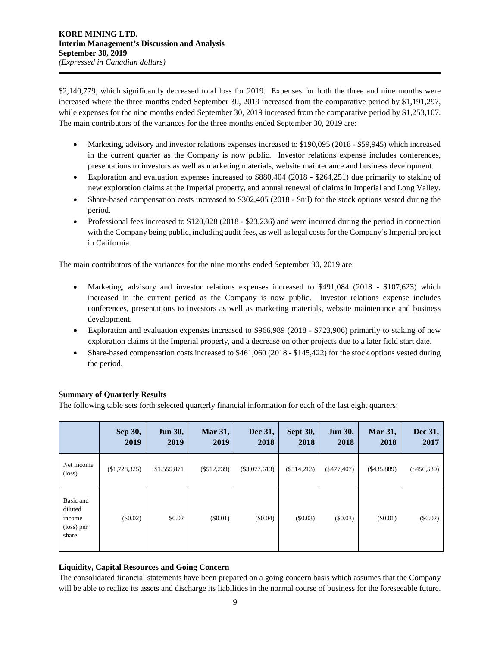\$2,140,779, which significantly decreased total loss for 2019. Expenses for both the three and nine months were increased where the three months ended September 30, 2019 increased from the comparative period by \$1,191,297, while expenses for the nine months ended September 30, 2019 increased from the comparative period by \$1,253,107. The main contributors of the variances for the three months ended September 30, 2019 are:

- Marketing, advisory and investor relations expenses increased to \$190,095 (2018 \$59,945) which increased in the current quarter as the Company is now public. Investor relations expense includes conferences, presentations to investors as well as marketing materials, website maintenance and business development.
- Exploration and evaluation expenses increased to \$880,404 (2018 \$264,251) due primarily to staking of new exploration claims at the Imperial property, and annual renewal of claims in Imperial and Long Valley.
- Share-based compensation costs increased to \$302,405 (2018 \$nil) for the stock options vested during the period.
- Professional fees increased to \$120,028 (2018 \$23,236) and were incurred during the period in connection with the Company being public, including audit fees, as well as legal costs for the Company's Imperial project in California.

The main contributors of the variances for the nine months ended September 30, 2019 are:

- Marketing, advisory and investor relations expenses increased to \$491,084 (2018 \$107,623) which increased in the current period as the Company is now public. Investor relations expense includes conferences, presentations to investors as well as marketing materials, website maintenance and business development.
- Exploration and evaluation expenses increased to \$966,989 (2018 \$723,906) primarily to staking of new exploration claims at the Imperial property, and a decrease on other projects due to a later field start date.
- Share-based compensation costs increased to \$461,060 (2018 \$145,422) for the stock options vested during the period.

# **Summary of Quarterly Results**

The following table sets forth selected quarterly financial information for each of the last eight quarters:

|                                                       | Sep 30,<br>2019 | <b>Jun 30,</b><br>2019 | Mar 31,<br>2019 | Dec 31,<br>2018 | Sept 30,<br>2018 | <b>Jun 30,</b><br>2018 | <b>Mar 31,</b><br>2018 | Dec 31,<br>2017 |
|-------------------------------------------------------|-----------------|------------------------|-----------------|-----------------|------------------|------------------------|------------------------|-----------------|
| Net income<br>$(\text{loss})$                         | (\$1,728,325)   | \$1,555,871            | $(\$512,239)$   | $(\$3,077,613)$ | $(\$514,213)$    | ( \$477,407)           | $(\$435,889)$          | $(\$456,530)$   |
| Basic and<br>diluted<br>income<br>(loss) per<br>share | $(\$0.02)$      | \$0.02                 | $(\$0.01)$      | $(\$0.04)$      | $(\$0.03)$       | $(\$0.03)$             | $(\$0.01)$             | $(\$0.02)$      |

# **Liquidity, Capital Resources and Going Concern**

The consolidated financial statements have been prepared on a going concern basis which assumes that the Company will be able to realize its assets and discharge its liabilities in the normal course of business for the foreseeable future.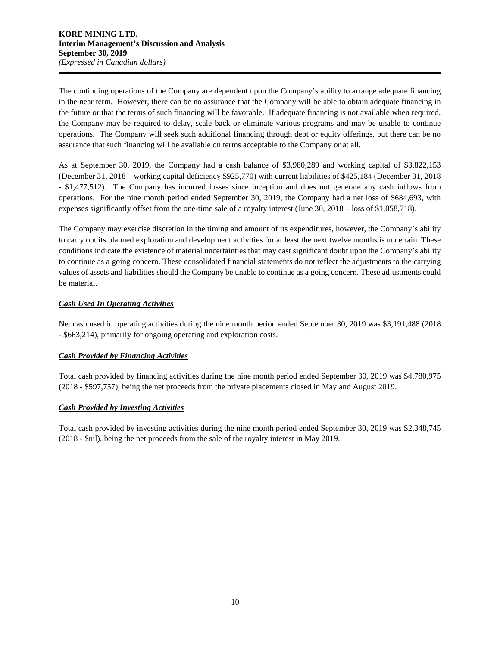The continuing operations of the Company are dependent upon the Company's ability to arrange adequate financing in the near term. However, there can be no assurance that the Company will be able to obtain adequate financing in the future or that the terms of such financing will be favorable. If adequate financing is not available when required, the Company may be required to delay, scale back or eliminate various programs and may be unable to continue operations. The Company will seek such additional financing through debt or equity offerings, but there can be no assurance that such financing will be available on terms acceptable to the Company or at all.

As at September 30, 2019, the Company had a cash balance of \$3,980,289 and working capital of \$3,822,153 (December 31, 2018 – working capital deficiency \$925,770) with current liabilities of \$425,184 (December 31, 2018 - \$1,477,512). The Company has incurred losses since inception and does not generate any cash inflows from operations. For the nine month period ended September 30, 2019, the Company had a net loss of \$684,693, with expenses significantly offset from the one-time sale of a royalty interest (June 30, 2018 – loss of \$1,058,718).

The Company may exercise discretion in the timing and amount of its expenditures, however, the Company's ability to carry out its planned exploration and development activities for at least the next twelve months is uncertain. These conditions indicate the existence of material uncertainties that may cast significant doubt upon the Company's ability to continue as a going concern. These consolidated financial statements do not reflect the adjustments to the carrying values of assets and liabilities should the Company be unable to continue as a going concern. These adjustments could be material.

# *Cash Used In Operating Activities*

Net cash used in operating activities during the nine month period ended September 30, 2019 was \$3,191,488 (2018 - \$663,214), primarily for ongoing operating and exploration costs.

## *Cash Provided by Financing Activities*

Total cash provided by financing activities during the nine month period ended September 30, 2019 was \$4,780,975 (2018 - \$597,757), being the net proceeds from the private placements closed in May and August 2019.

## *Cash Provided by Investing Activities*

Total cash provided by investing activities during the nine month period ended September 30, 2019 was \$2,348,745 (2018 - \$nil), being the net proceeds from the sale of the royalty interest in May 2019.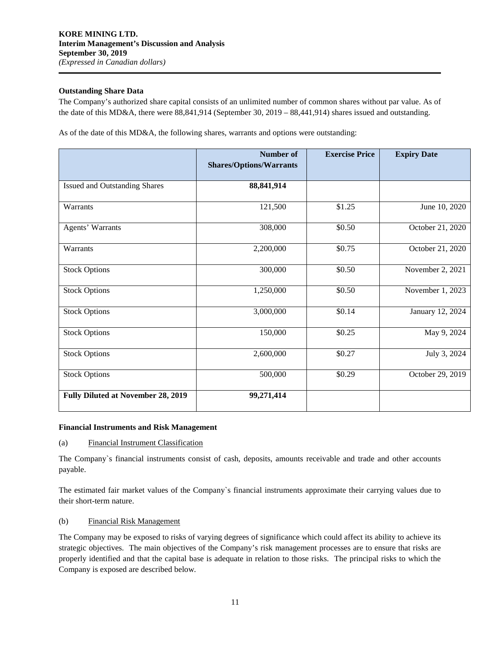## **Outstanding Share Data**

The Company's authorized share capital consists of an unlimited number of common shares without par value. As of the date of this MD&A, there were 88,841,914 (September 30, 2019 – 88,441,914) shares issued and outstanding.

As of the date of this MD&A, the following shares, warrants and options were outstanding:

|                                           | <b>Number</b> of<br><b>Shares/Options/Warrants</b> | <b>Exercise Price</b> | <b>Expiry Date</b> |
|-------------------------------------------|----------------------------------------------------|-----------------------|--------------------|
|                                           |                                                    |                       |                    |
| <b>Issued and Outstanding Shares</b>      | 88, 841, 914                                       |                       |                    |
| Warrants                                  | 121,500                                            | \$1.25                | June 10, 2020      |
| Agents' Warrants                          | 308,000                                            | \$0.50                | October 21, 2020   |
| Warrants                                  | 2,200,000                                          | \$0.75                | October 21, 2020   |
| <b>Stock Options</b>                      | 300,000                                            | \$0.50                | November 2, 2021   |
| <b>Stock Options</b>                      | 1,250,000                                          | \$0.50                | November 1, 2023   |
| <b>Stock Options</b>                      | 3,000,000                                          | \$0.14                | January 12, 2024   |
| <b>Stock Options</b>                      | 150,000                                            | \$0.25                | May 9, 2024        |
| <b>Stock Options</b>                      | 2,600,000                                          | \$0.27                | July 3, 2024       |
| <b>Stock Options</b>                      | 500,000                                            | \$0.29                | October 29, 2019   |
| <b>Fully Diluted at November 28, 2019</b> | 99,271,414                                         |                       |                    |

#### **Financial Instruments and Risk Management**

(a) Financial Instrument Classification

The Company`s financial instruments consist of cash, deposits, amounts receivable and trade and other accounts payable.

The estimated fair market values of the Company`s financial instruments approximate their carrying values due to their short-term nature.

#### (b) Financial Risk Management

The Company may be exposed to risks of varying degrees of significance which could affect its ability to achieve its strategic objectives. The main objectives of the Company's risk management processes are to ensure that risks are properly identified and that the capital base is adequate in relation to those risks. The principal risks to which the Company is exposed are described below.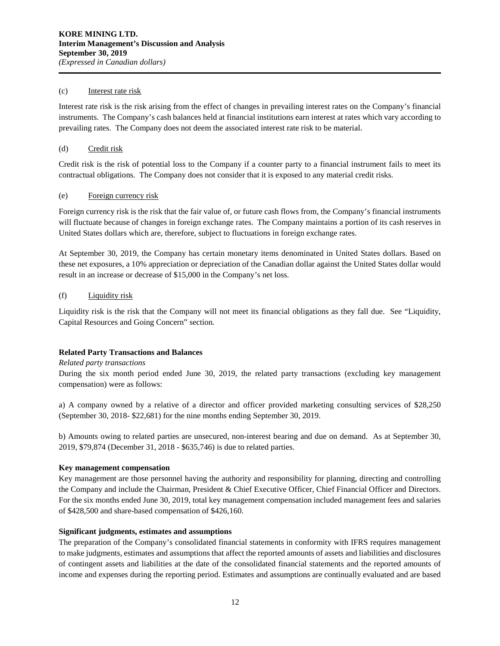#### (c) Interest rate risk

Interest rate risk is the risk arising from the effect of changes in prevailing interest rates on the Company's financial instruments. The Company's cash balances held at financial institutions earn interest at rates which vary according to prevailing rates. The Company does not deem the associated interest rate risk to be material.

## (d) Credit risk

Credit risk is the risk of potential loss to the Company if a counter party to a financial instrument fails to meet its contractual obligations. The Company does not consider that it is exposed to any material credit risks.

## (e) Foreign currency risk

Foreign currency risk is the risk that the fair value of, or future cash flows from, the Company's financial instruments will fluctuate because of changes in foreign exchange rates. The Company maintains a portion of its cash reserves in United States dollars which are, therefore, subject to fluctuations in foreign exchange rates.

At September 30, 2019, the Company has certain monetary items denominated in United States dollars. Based on these net exposures, a 10% appreciation or depreciation of the Canadian dollar against the United States dollar would result in an increase or decrease of \$15,000 in the Company's net loss.

#### (f) Liquidity risk

Liquidity risk is the risk that the Company will not meet its financial obligations as they fall due. See "Liquidity, Capital Resources and Going Concern" section.

## **Related Party Transactions and Balances**

#### *Related party transactions*

During the six month period ended June 30, 2019, the related party transactions (excluding key management compensation) were as follows:

a) A company owned by a relative of a director and officer provided marketing consulting services of \$28,250 (September 30, 2018- \$22,681) for the nine months ending September 30, 2019.

b) Amounts owing to related parties are unsecured, non-interest bearing and due on demand. As at September 30, 2019, \$79,874 (December 31, 2018 - \$635,746) is due to related parties.

#### **Key management compensation**

Key management are those personnel having the authority and responsibility for planning, directing and controlling the Company and include the Chairman, President & Chief Executive Officer, Chief Financial Officer and Directors. For the six months ended June 30, 2019, total key management compensation included management fees and salaries of \$428,500 and share-based compensation of \$426,160.

#### **Significant judgments, estimates and assumptions**

The preparation of the Company's consolidated financial statements in conformity with IFRS requires management to make judgments, estimates and assumptions that affect the reported amounts of assets and liabilities and disclosures of contingent assets and liabilities at the date of the consolidated financial statements and the reported amounts of income and expenses during the reporting period. Estimates and assumptions are continually evaluated and are based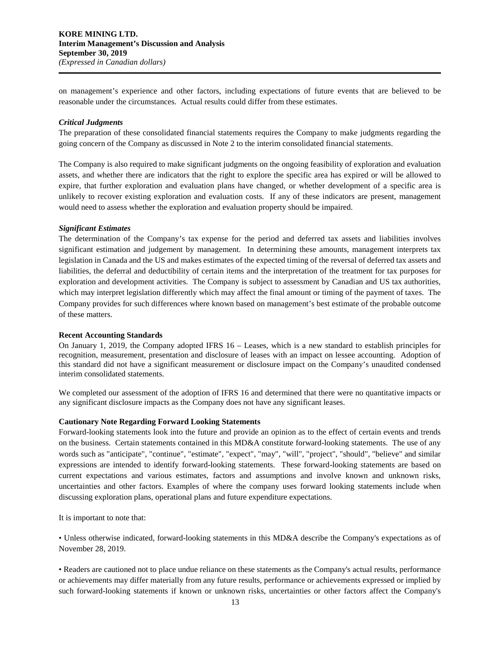on management's experience and other factors, including expectations of future events that are believed to be reasonable under the circumstances. Actual results could differ from these estimates.

#### *Critical Judgments*

The preparation of these consolidated financial statements requires the Company to make judgments regarding the going concern of the Company as discussed in Note 2 to the interim consolidated financial statements.

The Company is also required to make significant judgments on the ongoing feasibility of exploration and evaluation assets, and whether there are indicators that the right to explore the specific area has expired or will be allowed to expire, that further exploration and evaluation plans have changed, or whether development of a specific area is unlikely to recover existing exploration and evaluation costs. If any of these indicators are present, management would need to assess whether the exploration and evaluation property should be impaired.

#### *Significant Estimates*

The determination of the Company's tax expense for the period and deferred tax assets and liabilities involves significant estimation and judgement by management. In determining these amounts, management interprets tax legislation in Canada and the US and makes estimates of the expected timing of the reversal of deferred tax assets and liabilities, the deferral and deductibility of certain items and the interpretation of the treatment for tax purposes for exploration and development activities. The Company is subject to assessment by Canadian and US tax authorities, which may interpret legislation differently which may affect the final amount or timing of the payment of taxes. The Company provides for such differences where known based on management's best estimate of the probable outcome of these matters.

#### **Recent Accounting Standards**

On January 1, 2019, the Company adopted IFRS 16 – Leases, which is a new standard to establish principles for recognition, measurement, presentation and disclosure of leases with an impact on lessee accounting. Adoption of this standard did not have a significant measurement or disclosure impact on the Company's unaudited condensed interim consolidated statements.

We completed our assessment of the adoption of IFRS 16 and determined that there were no quantitative impacts or any significant disclosure impacts as the Company does not have any significant leases.

#### **Cautionary Note Regarding Forward Looking Statements**

Forward-looking statements look into the future and provide an opinion as to the effect of certain events and trends on the business. Certain statements contained in this MD&A constitute forward-looking statements. The use of any words such as "anticipate", "continue", "estimate", "expect", "may", "will", "project", "should", "believe" and similar expressions are intended to identify forward-looking statements. These forward-looking statements are based on current expectations and various estimates, factors and assumptions and involve known and unknown risks, uncertainties and other factors. Examples of where the company uses forward looking statements include when discussing exploration plans, operational plans and future expenditure expectations.

It is important to note that:

• Unless otherwise indicated, forward-looking statements in this MD&A describe the Company's expectations as of November 28, 2019.

• Readers are cautioned not to place undue reliance on these statements as the Company's actual results, performance or achievements may differ materially from any future results, performance or achievements expressed or implied by such forward-looking statements if known or unknown risks, uncertainties or other factors affect the Company's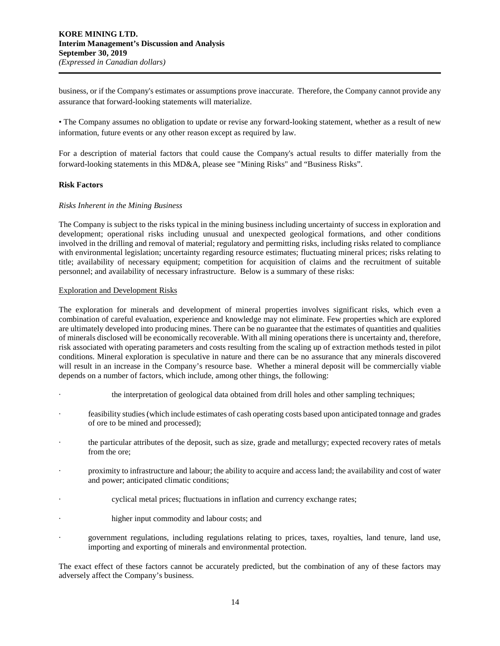business, or if the Company's estimates or assumptions prove inaccurate. Therefore, the Company cannot provide any assurance that forward-looking statements will materialize.

• The Company assumes no obligation to update or revise any forward-looking statement, whether as a result of new information, future events or any other reason except as required by law.

For a description of material factors that could cause the Company's actual results to differ materially from the forward-looking statements in this MD&A, please see "Mining Risks" and "Business Risks".

#### **Risk Factors**

#### *Risks Inherent in the Mining Business*

The Company is subject to the risks typical in the mining business including uncertainty of success in exploration and development; operational risks including unusual and unexpected geological formations, and other conditions involved in the drilling and removal of material; regulatory and permitting risks, including risks related to compliance with environmental legislation; uncertainty regarding resource estimates; fluctuating mineral prices; risks relating to title; availability of necessary equipment; competition for acquisition of claims and the recruitment of suitable personnel; and availability of necessary infrastructure. Below is a summary of these risks:

#### Exploration and Development Risks

The exploration for minerals and development of mineral properties involves significant risks, which even a combination of careful evaluation, experience and knowledge may not eliminate. Few properties which are explored are ultimately developed into producing mines. There can be no guarantee that the estimates of quantities and qualities of minerals disclosed will be economically recoverable. With all mining operations there is uncertainty and, therefore, risk associated with operating parameters and costs resulting from the scaling up of extraction methods tested in pilot conditions. Mineral exploration is speculative in nature and there can be no assurance that any minerals discovered will result in an increase in the Company's resource base. Whether a mineral deposit will be commercially viable depends on a number of factors, which include, among other things, the following:

- · the interpretation of geological data obtained from drill holes and other sampling techniques;
- · feasibility studies (which include estimates of cash operating costs based upon anticipated tonnage and grades of ore to be mined and processed);
- the particular attributes of the deposit, such as size, grade and metallurgy; expected recovery rates of metals from the ore;
- · proximity to infrastructure and labour; the ability to acquire and access land; the availability and cost of water and power; anticipated climatic conditions;
- cyclical metal prices; fluctuations in inflation and currency exchange rates;
- higher input commodity and labour costs; and
- · government regulations, including regulations relating to prices, taxes, royalties, land tenure, land use, importing and exporting of minerals and environmental protection.

The exact effect of these factors cannot be accurately predicted, but the combination of any of these factors may adversely affect the Company's business.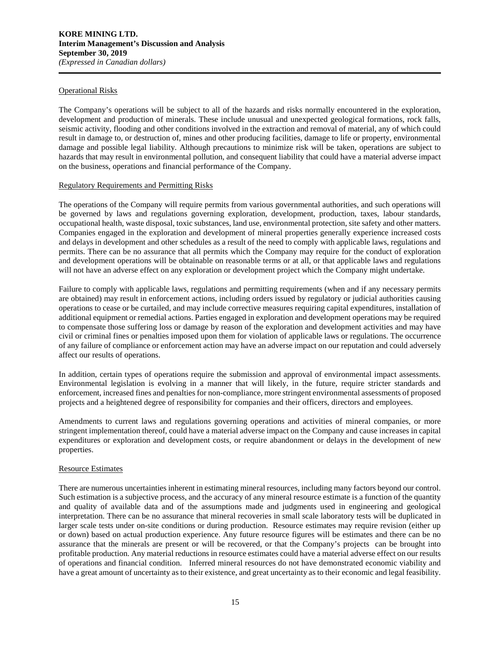#### Operational Risks

The Company's operations will be subject to all of the hazards and risks normally encountered in the exploration, development and production of minerals. These include unusual and unexpected geological formations, rock falls, seismic activity, flooding and other conditions involved in the extraction and removal of material, any of which could result in damage to, or destruction of, mines and other producing facilities, damage to life or property, environmental damage and possible legal liability. Although precautions to minimize risk will be taken, operations are subject to hazards that may result in environmental pollution, and consequent liability that could have a material adverse impact on the business, operations and financial performance of the Company.

#### Regulatory Requirements and Permitting Risks

The operations of the Company will require permits from various governmental authorities, and such operations will be governed by laws and regulations governing exploration, development, production, taxes, labour standards, occupational health, waste disposal, toxic substances, land use, environmental protection, site safety and other matters. Companies engaged in the exploration and development of mineral properties generally experience increased costs and delays in development and other schedules as a result of the need to comply with applicable laws, regulations and permits. There can be no assurance that all permits which the Company may require for the conduct of exploration and development operations will be obtainable on reasonable terms or at all, or that applicable laws and regulations will not have an adverse effect on any exploration or development project which the Company might undertake.

Failure to comply with applicable laws, regulations and permitting requirements (when and if any necessary permits are obtained) may result in enforcement actions, including orders issued by regulatory or judicial authorities causing operations to cease or be curtailed, and may include corrective measures requiring capital expenditures, installation of additional equipment or remedial actions. Parties engaged in exploration and development operations may be required to compensate those suffering loss or damage by reason of the exploration and development activities and may have civil or criminal fines or penalties imposed upon them for violation of applicable laws or regulations. The occurrence of any failure of compliance or enforcement action may have an adverse impact on our reputation and could adversely affect our results of operations.

In addition, certain types of operations require the submission and approval of environmental impact assessments. Environmental legislation is evolving in a manner that will likely, in the future, require stricter standards and enforcement, increased fines and penalties for non-compliance, more stringent environmental assessments of proposed projects and a heightened degree of responsibility for companies and their officers, directors and employees.

Amendments to current laws and regulations governing operations and activities of mineral companies, or more stringent implementation thereof, could have a material adverse impact on the Company and cause increases in capital expenditures or exploration and development costs, or require abandonment or delays in the development of new properties.

## Resource Estimates

There are numerous uncertainties inherent in estimating mineral resources, including many factors beyond our control. Such estimation is a subjective process, and the accuracy of any mineral resource estimate is a function of the quantity and quality of available data and of the assumptions made and judgments used in engineering and geological interpretation. There can be no assurance that mineral recoveries in small scale laboratory tests will be duplicated in larger scale tests under on-site conditions or during production. Resource estimates may require revision (either up or down) based on actual production experience. Any future resource figures will be estimates and there can be no assurance that the minerals are present or will be recovered, or that the Company's projects can be brought into profitable production. Any material reductions in resource estimates could have a material adverse effect on our results of operations and financial condition. Inferred mineral resources do not have demonstrated economic viability and have a great amount of uncertainty as to their existence, and great uncertainty as to their economic and legal feasibility.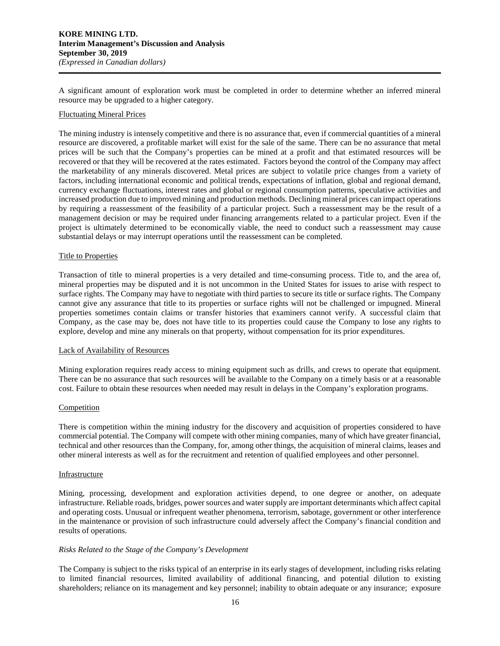A significant amount of exploration work must be completed in order to determine whether an inferred mineral resource may be upgraded to a higher category.

#### Fluctuating Mineral Prices

The mining industry is intensely competitive and there is no assurance that, even if commercial quantities of a mineral resource are discovered, a profitable market will exist for the sale of the same. There can be no assurance that metal prices will be such that the Company's properties can be mined at a profit and that estimated resources will be recovered or that they will be recovered at the rates estimated. Factors beyond the control of the Company may affect the marketability of any minerals discovered. Metal prices are subject to volatile price changes from a variety of factors, including international economic and political trends, expectations of inflation, global and regional demand, currency exchange fluctuations, interest rates and global or regional consumption patterns, speculative activities and increased production due to improved mining and production methods. Declining mineral prices can impact operations by requiring a reassessment of the feasibility of a particular project. Such a reassessment may be the result of a management decision or may be required under financing arrangements related to a particular project. Even if the project is ultimately determined to be economically viable, the need to conduct such a reassessment may cause substantial delays or may interrupt operations until the reassessment can be completed.

#### Title to Properties

Transaction of title to mineral properties is a very detailed and time-consuming process. Title to, and the area of, mineral properties may be disputed and it is not uncommon in the United States for issues to arise with respect to surface rights. The Company may have to negotiate with third parties to secure its title or surface rights. The Company cannot give any assurance that title to its properties or surface rights will not be challenged or impugned. Mineral properties sometimes contain claims or transfer histories that examiners cannot verify. A successful claim that Company, as the case may be, does not have title to its properties could cause the Company to lose any rights to explore, develop and mine any minerals on that property, without compensation for its prior expenditures.

#### Lack of Availability of Resources

Mining exploration requires ready access to mining equipment such as drills, and crews to operate that equipment. There can be no assurance that such resources will be available to the Company on a timely basis or at a reasonable cost. Failure to obtain these resources when needed may result in delays in the Company's exploration programs.

#### Competition

There is competition within the mining industry for the discovery and acquisition of properties considered to have commercial potential. The Company will compete with other mining companies, many of which have greater financial, technical and other resources than the Company, for, among other things, the acquisition of mineral claims, leases and other mineral interests as well as for the recruitment and retention of qualified employees and other personnel.

#### Infrastructure

Mining, processing, development and exploration activities depend, to one degree or another, on adequate infrastructure. Reliable roads, bridges, power sources and water supply are important determinants which affect capital and operating costs. Unusual or infrequent weather phenomena, terrorism, sabotage, government or other interference in the maintenance or provision of such infrastructure could adversely affect the Company's financial condition and results of operations.

# *Risks Related to the Stage of the Company's Development*

The Company is subject to the risks typical of an enterprise in its early stages of development, including risks relating to limited financial resources, limited availability of additional financing, and potential dilution to existing shareholders; reliance on its management and key personnel; inability to obtain adequate or any insurance; exposure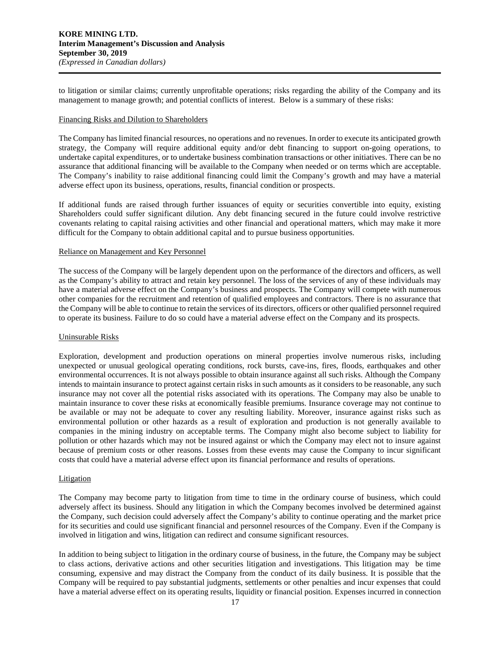to litigation or similar claims; currently unprofitable operations; risks regarding the ability of the Company and its management to manage growth; and potential conflicts of interest. Below is a summary of these risks:

#### Financing Risks and Dilution to Shareholders

The Company has limited financial resources, no operations and no revenues. In order to execute its anticipated growth strategy, the Company will require additional equity and/or debt financing to support on-going operations, to undertake capital expenditures, or to undertake business combination transactions or other initiatives. There can be no assurance that additional financing will be available to the Company when needed or on terms which are acceptable. The Company's inability to raise additional financing could limit the Company's growth and may have a material adverse effect upon its business, operations, results, financial condition or prospects.

If additional funds are raised through further issuances of equity or securities convertible into equity, existing Shareholders could suffer significant dilution. Any debt financing secured in the future could involve restrictive covenants relating to capital raising activities and other financial and operational matters, which may make it more difficult for the Company to obtain additional capital and to pursue business opportunities.

#### Reliance on Management and Key Personnel

The success of the Company will be largely dependent upon on the performance of the directors and officers, as well as the Company's ability to attract and retain key personnel. The loss of the services of any of these individuals may have a material adverse effect on the Company's business and prospects. The Company will compete with numerous other companies for the recruitment and retention of qualified employees and contractors. There is no assurance that the Company will be able to continue to retain the services of its directors, officers or other qualified personnel required to operate its business. Failure to do so could have a material adverse effect on the Company and its prospects.

#### Uninsurable Risks

Exploration, development and production operations on mineral properties involve numerous risks, including unexpected or unusual geological operating conditions, rock bursts, cave-ins, fires, floods, earthquakes and other environmental occurrences. It is not always possible to obtain insurance against all such risks. Although the Company intends to maintain insurance to protect against certain risks in such amounts as it considers to be reasonable, any such insurance may not cover all the potential risks associated with its operations. The Company may also be unable to maintain insurance to cover these risks at economically feasible premiums. Insurance coverage may not continue to be available or may not be adequate to cover any resulting liability. Moreover, insurance against risks such as environmental pollution or other hazards as a result of exploration and production is not generally available to companies in the mining industry on acceptable terms. The Company might also become subject to liability for pollution or other hazards which may not be insured against or which the Company may elect not to insure against because of premium costs or other reasons. Losses from these events may cause the Company to incur significant costs that could have a material adverse effect upon its financial performance and results of operations.

#### **Litigation**

The Company may become party to litigation from time to time in the ordinary course of business, which could adversely affect its business. Should any litigation in which the Company becomes involved be determined against the Company, such decision could adversely affect the Company's ability to continue operating and the market price for its securities and could use significant financial and personnel resources of the Company. Even if the Company is involved in litigation and wins, litigation can redirect and consume significant resources.

In addition to being subject to litigation in the ordinary course of business, in the future, the Company may be subject to class actions, derivative actions and other securities litigation and investigations. This litigation may be time consuming, expensive and may distract the Company from the conduct of its daily business. It is possible that the Company will be required to pay substantial judgments, settlements or other penalties and incur expenses that could have a material adverse effect on its operating results, liquidity or financial position. Expenses incurred in connection